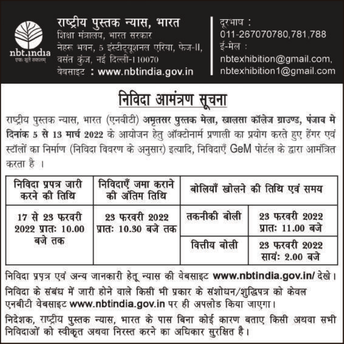

राष्ट्रीय पुस्तक न्यास, भारत शिक्षा मंत्रालय. भारत सरकार नेहरू भवन, 5 इंस्टीट्यूशनल एरिया, फेज-II, वसंत कंज, नई दिल्ली-110070 वेबसाइट: www.nbtindia.gov.in

दरभाष : 011-267070780.781.788 ई-मेल :

nbtexhibition@gmail.com, nbtexhibition1@gmail.com

# निविदा <u>आमंत्रण सूचना</u>

राष्ट्रीय पुस्तक न्यास, भारत (एनबीटी) अमृतसर पुस्तक मेला, खालसा कॉलेज ग्राउण्ड, पंजाब मे दिनांक 5 से 13 मार्च 2022 के आयोजन हेतु ऑक्टोनार्म प्रणाली का प्रयोग करते हुए हैंगर एवं स्टॉलों का निर्माण (निविदा विवरण के अनुसार) इत्यादि, निविदाएँ GeM पोर्टल के द्वारा आर्मंत्रित करता है ।

| निविदा प्रपत्र जारी<br>करने की तिथि | निविदाएँ जमा कराने<br>को अंतिम तिथि   |              | बोलियाँ खोलने की तिथि एवं समय     |
|-------------------------------------|---------------------------------------|--------------|-----------------------------------|
| 17 से 23 फरवरी<br>2022 प्रातः 10.00 | 23 फरवरी 2022<br>प्रातः 10.30 बजे तक। | तकनीकी बोली  | 23 फरवरी 2022<br>प्रातः 11.00 बजे |
| बजे तक                              |                                       | वित्तीय बोली | 23 फरवरी 2022<br>सायं: 2.00 बजे   |

निविदा प्रपत्र एवं अन्य जानकारी हेतू न्यास की वेबसाइट www.nbtindia.gov.in/ देखे। निविदा के संबंध में जारी होने वाले किसी भी प्रकार के संशोधन/शुद्धिपत्र को केवल एनबीटी वेबसाइट www.nbtindia.gov.in पर ही अपलोड किया जाएगा। निदेशक, राष्ट्रीय पुस्तक न्यास, भारत के पास बिना कोई कारण बताए किसी अथवा सभी निविदाओं को स्वीकृत अथवा निरस्त करने का अधिकार सुरक्षित है।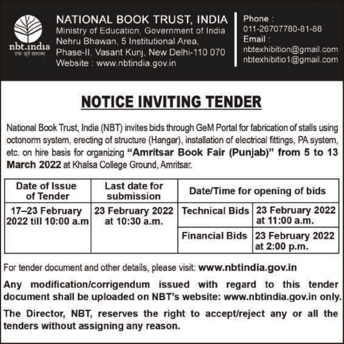

NATIONAL BOOK TRUST, INDIA

Ministry of Education. Government of India Nehru Bhawan, 5 Institutional Area. Phase-II, Vasant Kuni, New Delhi-110 070 Website: www.nbtindia.gov.in

Phone · 011-26707780-81-88 Email: nbtexhibition@gmail.com nbtexhibitio1@gmail.com

# **NOTICE INVITING TENDER**

National Book Trust, India (NBT) invites bids through GeM Portal for fabrication of stalls using octonorm system, erecting of structure (Hangar), installation of electrical fittings, PA system, etc. on hire basis for organizing "Amritsar Book Fair (Punjab)" from 5 to 13 March 2022 at Khalsa College Ground, Amritsar.

| Date of Issue<br>of Tender            | Last date for<br>submission | Date/Time for opening of bids                                       |
|---------------------------------------|-----------------------------|---------------------------------------------------------------------|
| 17-23 February<br>2022 till 10:00 a.m | at 10:30 a.m.               | 23 February 2022   Technical Bids 23 February 2022<br>at 11:00 a.m. |
|                                       |                             | Financial Bids 23 February 2022<br>at 2:00 p.m.                     |

For tender document and other details, please visit: www.nbtindia.gov.in

Any modification/corrigendum issued with regard to this tender document shall be uploaded on NBT's website: www.nbtindia.gov.in only.

The Director, NBT, reserves the right to accept/reject any or all the tenders without assigning any reason.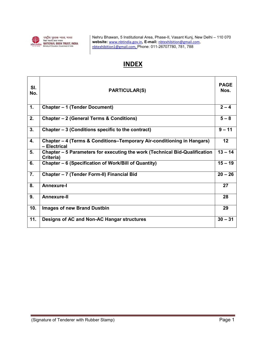

Nehru Bhawan, 5 Institutional Area, Phase-II, Vasant Kunj, New Delhi – 110 070 website: www.nbtindia.gov.in, E-mail: nbtexhibition@gmail.com, nbtexhibition1@gmail.com, Phone: 011-26707780, 781, 788

# **INDEX**

| SI.<br>No. | <b>PARTICULAR(S)</b>                                                                    | <b>PAGE</b><br>Nos. |
|------------|-----------------------------------------------------------------------------------------|---------------------|
| 1.         | <b>Chapter - 1 (Tender Document)</b>                                                    | $2 - 4$             |
| 2.         | Chapter - 2 (General Terms & Conditions)                                                | $5 - 8$             |
| 3.         | Chapter – 3 (Conditions specific to the contract)                                       | $9 - 11$            |
| 4.         | Chapter – 4 (Terms & Conditions–Temporary Air-conditioning in Hangars)<br>- Electrical  | 12                  |
| 5.         | Chapter – 5 Parameters for executing the work (Technical Bid-Qualification<br>Criteria) | $13 - 14$           |
| 6.         | Chapter - 6 (Specification of Work/Bill of Quantity)                                    | $15 - 19$           |
| 7.         | Chapter - 7 (Tender Form-II) Financial Bid                                              | $20 - 26$           |
| 8.         | <b>Annexure-I</b>                                                                       | 27                  |
| 9.         | <b>Annexure-II</b>                                                                      | 28                  |
| 10.        | <b>Images of new Brand Dustbin</b>                                                      | 29                  |
| 11.        | Designs of AC and Non-AC Hangar structures                                              | $30 - 31$           |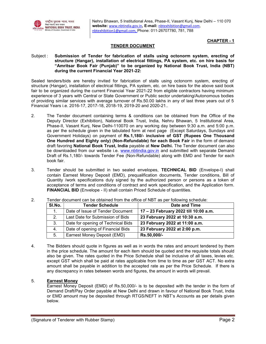

Nehru Bhawan, 5 Institutional Area, Phase-II, Vasant Kunj, New Delhi – 110 070 website: www.nbtindia.gov.in, E-mail: nbtexhibition@gmail.com, nbtexhibition1@gmail.com, Phone: 011-26707780, 781, 788

## CHAPTER - 1

## TENDER DOCUMENT

Subject : Submission of Tender for fabrication of stalls using octonorm system, erecting of structure (Hangar), installation of electrical fittings, PA system, etc. on hire basis for "Amritsar Book Fair (Punjab)" to be organized by National Book Trust, India (NBT) during the current Financial Year 2021-22:

Sealed tenders/bids are hereby invited for fabrication of stalls using octonorm system, erecting of structure (Hangar), installation of electrical fittings, PA system, etc. on hire basis for the above said book fair to be organized during the current Financial Year 2021-22 from eligible contractors having minimum experience of 3 years with Central or State Government or Public sector undertaking/Autonomous bodies of providing similar services with average turnover of Rs.50.00 lakhs in any of last three years out of 5 Financial Years i.e. 2016-17, 2017-18, 2018-19, 2019-20 and 2020-21..

- 2. The Tender document containing terms & conditions can be obtained from the Office of the Deputy Director (Exhibition), National Book Trust, India, Nehru Bhawan, 5 Institutional Area, Phase-II, Vasant Kunj, New Delhi-110070 on any working day between 9:30 a.m. and 5:00 p.m. as per the schedule given in the tabulated form at next page (Except Saturdays, Sundays and Government Holidays) on payment of Rs.1,180/- inclusive of GST (Rupees One Thousand One Hundred and Eighty only) (Non-Refundable) for each Book Fair in the form of demand draft favoring National Book Trust, India payable at New Delhi. The Tender document can also be downloaded from our website i.e. www.nbtindia.gov.in and submitted with separate Demand Draft of Rs.1,180/- towards Tender Fee (Non-Refundable) along with EMD and Tender for each book fair.
- 3. Tender should be submitted in two sealed envelopes, TECHNICAL BID (Envelope-I) shall contain Earnest Money Deposit (EMD), prequalification documents, Tender conditions, Bill of Quantity /work specifications duly signed by the authorized person or persons as a token of acceptance of terms and conditions of contract and work specification, and the Application form. FINANCIAL BID (Envelope - II) shall contain Priced Schedule of quantities.

| SI.No. | <b>Tender Schedule</b>             | Date and Time                         |
|--------|------------------------------------|---------------------------------------|
| 1.     | Date of Issue of Tender Document   | 17 - 23 February 2022 till 10:00 a.m. |
| 2.     | Last Date for Submission of Bids   | 23 February 2022 at 10:30 a.m.        |
| 3.     | Date for opening of Technical Bids | 23 February 2022 at 11:00 a.m.        |
| 4.     | Date of opening of Financial Bids  | 23 February 2022 at 2:00 p.m.         |
| 5.     | Earnest Money Deposit (EMD)        | Rs.50,000/-                           |

2. Tender document can be obtained from the office of NBT as per following schedule:

4. The Bidders should quote in figures as well as in words the rates and amount tendered by them in the price schedule. The amount for each item should be quoted and the requisite totals should also be given. The rates quoted in the Price Schedule shall be inclusive of all taxes, levies etc. except GST which shall be paid at rates applicable from time to time as per GST ACT. No extra amount shall be payable in addition to the accepted rate as per the Price Schedule. If there is any discrepancy in rates between words and figures, the amount in words will prevail.

## 5. Earnest Money

Earnest Money Deposit (EMD) of Rs.50,000/- is to be deposited with the tender in the form of Demand Draft/Pay Order payable at New Delhi and drawn in favour of National Book Trust, India or EMD amount may be deposited through RTGS/NEFT in NBT's Accounts as per details given below.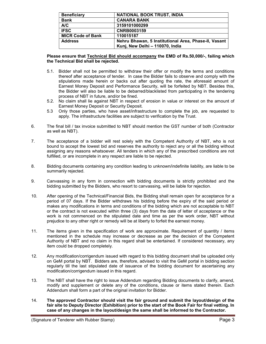| <b>Beneficiary</b>       | <b>NATIONAL BOOK TRUST, INDIA</b>                    |
|--------------------------|------------------------------------------------------|
| <b>Bank</b>              | <b>CANARA BANK</b>                                   |
| A/C                      | 3159101000299                                        |
| <b>IFSC</b>              | <b>CNRB0003159</b>                                   |
| <b>MICR Code of Bank</b> | 110015187                                            |
| <b>Address</b>           | Nehru Bhawan, 5 Institutional Area, Phase-II, Vasant |
|                          | Kunj, New Delhi - 110070, India                      |

## Please ensure that Technical Bid should accompany the EMD of Rs.50,000/-, failing which the Technical Bid shall be rejected.

- 5.1. Bidder shall not be permitted to withdraw their offer or modify the terms and conditions thereof after acceptance of tender. In case the Bidder fails to observe and comply with the stipulations made herein or backs out after quoting the rate, the aforesaid amount of Earnest Money Deposit and Performance Security, will be forfeited by NBT. Besides this, the Bidder will also be liable to be debarred/blacklisted from participating in the tendering process of NBT in future, and/or be fined.
- 5.2. No claim shall lie against NBT in respect of erosion in value or interest on the amount of Earnest Money Deposit or Security Deposit.
- 5.3 Only those parties, who have asset/infrastructure to complete the job, are requested to apply. The infrastructure facilities are subject to verification by the Trust.
- 6. The final bill / tax invoice submitted to NBT should mention the GST number of both (Contractor as well as NBT).
- 7. The acceptance of a bidder will rest solely with the Competent Authority of NBT, who is not bound to accept the lowest bid and reserves the authority to reject any or all the bidding without assigning any reasons whatsoever. All tenders in which any of the prescribed conditions are not fulfilled, or are incomplete in any respect are liable to be rejected.
- 8. Bidding documents containing any condition leading to unknown/indefinite liability, are liable to be summarily rejected.
- 9. Canvassing in any form in connection with bidding documents is strictly prohibited and the bidding submitted by the Bidders, who resort to canvassing, will be liable for rejection.
- 10. After opening of the Technical/Financial Bids, the Bidding shall remain open for acceptance for a period of 07 days. If the Bidder withdraws his bidding before the expiry of the said period or makes any modifications in terms and conditions of the bidding which are not acceptable to NBT or the contract is not executed within three (3) days from the date of letter of acceptance or the work is not commenced on the stipulated date and time as per the work order, NBT without prejudice to any other right or remedy will be at liberty to forfeit the earnest money.
- 11. The items given in the specification of work are approximate. Requirement of quantity / items mentioned in the schedule may increase or decrease as per the decision of the Competent Authority of NBT and no claim in this regard shall be entertained. If considered necessary, any item could be dropped completely.
- 12. Any modification/corrigendum issued with regard to this bidding document shall be uploaded only on GeM portal by NBT. Bidders are, therefore, advised to visit the GeM portal in bidding section regularly till the last stipulated date of issuance of the bidding document for ascertaining any modification/corrigendum issued in this regard.
- 13. The NBT shall have the right to issue Addendum regarding Bidding documents to clarify, amend, modify and supplement or delete any of the conditions, clause or items stated therein. Each Addendum shall form a part of the original invitation for Bidder.
- 14. The approved Contractor should visit the fair ground and submit the layout/design of the fair site to Deputy Director (Exhibition) prior to the start of the Book Fair for final vetting. In case of any changes in the layout/design the same shall be informed to the Contractor.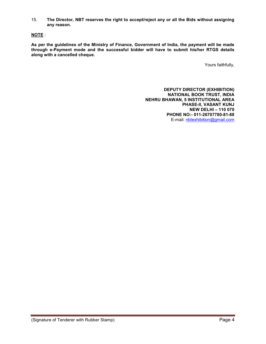15. The Director, NBT reserves the right to accept/reject any or all the Bids without assigning any reason.

# NOTE :

As per the guidelines of the Ministry of Finance, Government of India, the payment will be made through e-Payment mode and the successful bidder will have to submit his/her RTGS details along with a cancelled cheque.

Yours faithfully,

DEPUTY DIRECTOR (EXHIBITION) NATIONAL BOOK TRUST, INDIA NEHRU BHAWAN, 5 INSTITUTIONAL AREA PHASE-II, VASANT KUNJ NEW DELHI – 110 070 PHONE NO:- 011-26707780-81-88 E-mail: nbtexhibition@gmail.com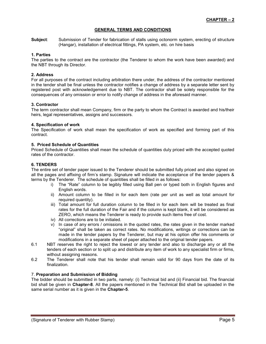## GENERAL TERMS AND CONDITIONS

Subject: Submission of Tender for fabrication of stalls using octonorm system, erecting of structure (Hangar), installation of electrical fittings, PA system, etc. on hire basis

## 1. Parties

The parties to the contract are the contractor (the Tenderer to whom the work have been awarded) and the NBT through its Director.

## 2. Address

For all purposes of the contract including arbitration there under, the address of the contractor mentioned in the tender shall be final unless the contractor notifies a change of address by a separate letter sent by registered post with acknowledgement due to NBT. The contractor shall be solely responsible for the consequences of any omission or error to notify change of address in the aforesaid manner.

## 3. Contractor

The term contractor shall mean Company, firm or the party to whom the Contract is awarded and his/their heirs, legal representatives, assigns and successors.

## 4. Specification of work

The Specification of work shall mean the specification of work as specified and forming part of this contract.

## 5. Priced Schedule of Quantities

Priced Schedule of Quantities shall mean the schedule of quantities duly priced with the accepted quoted rates of the contractor.

## 6. TENDERS

The entire set of tender paper issued to the Tenderer should be submitted fully priced and also signed on all the pages and affixing of firm's stamp. Signature will indicate the acceptance of the tender papers & terms by the Tenderer. The schedule of quantities shall be filled in as follows:

- i) The "Rate" column to be legibly filled using Ball pen or typed both in English figures and English words.
- ii) Amount column to be filled in for each item (rate per unit as well as total amount for required quantity).
- iii) Total amount for full duration column to be filled in for each item will be treated as final rates for the full duration of the Fair and if the column is kept blank, it will be considered as ZERO, which means the Tenderer is ready to provide such items free of cost.
- iv) All corrections are to be initialed.
- v) In case of any errors / omissions in the quoted rates, the rates given in the tender marked "original" shall be taken as correct rates. No modifications, writings or corrections can be made in the tender papers by the Tenderer, but may at his option offer his comments or modifications in a separate sheet of paper attached to the original tender papers.
- 6.1 NBT reserves the right to reject the lowest or any tender and also to discharge any or all the tenders of each section or to split up and distribute any item of work to any specialist firm or firms, without assigning reasons.
- 6.2 The Tenderer shall note that his tender shall remain valid for 90 days from the date of its finalization.

## 7. Preparation and Submission of Bidding

The bidder should be submitted in two parts, namely: (i) Technical bid and (ii) Financial bid. The financial bid shall be given in Chapter-8. All the papers mentioned in the Technical Bid shall be uploaded in the same serial number as it is given in the Chapter-5.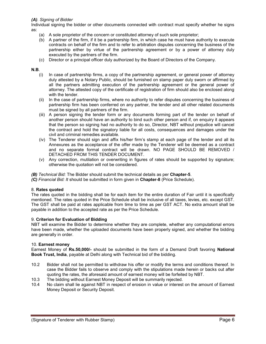## (A). Signing of Bidder

Individual signing the bidder or other documents connected with contract must specify whether he signs as:

- (a) A sole proprietor of the concern or constituted attorney of such sole proprietor;
- (b) A partner of the firm, if it be a partnership firm, in which case he must have authority to execute contracts on behalf of the firm and to refer to arbitration disputes concerning the business of the partnership either by virtue of the partnership agreement or by a power of attorney duly executed by the partners of the firm.
- (c) Director or a principal officer duly authorized by the Board of Directors of the Company.

## N.B.

- (i) In case of partnership firms, a copy of the partnership agreement, or general power of attorney duly attested by a Notary Public, should be furnished on stamp paper duly sworn or affirmed by all the partners admitting execution of the partnership agreement or the general power of attorney. The attested copy of the certificate of registration of firm should also be enclosed along with the tender.
- (ii) In the case of partnership firms, where no authority to refer disputes concerning the business of partnership firm has been conferred on any partner, the tender and all other related documents must be signed by all partners of the firm.
- (iii) A person signing the tender form or any documents forming part of the tender on behalf of another person should have an authority to bind such other person and if, on enquiry it appears that the person so signing had no authority to do so, Director, NBT without prejudice will cancel the contract and hold the signatory liable for all costs, consequences and damages under the civil and criminal remedies available.
- (iv) The Tenderer should sign and affix his/her firm's stamp at each page of the tender and all its Annexures as the acceptance of the offer made by the Tenderer will be deemed as a contract and no separate formal contract will be drawn. NO PAGE SHOULD BE REMOVED / DETACHED FROM THIS TENDER DOCUMENT.
- (v) Any correction, mutilation or overwriting in figures of rates should be supported by signature; otherwise the quotation will not be considered.
- (B) Technical Bid: The Bidder should submit the technical details as per Chapter-5.

(C) Financial Bid: It should be submitted in form given in Chapter-8 (Price Schedule).

## 8. Rates quoted

The rates quoted in the bidding shall be for each item for the entire duration of Fair until it is specifically mentioned. The rates quoted in the Price Schedule shall be inclusive of all taxes, levies, etc. except GST. The GST shall be paid at rates applicable from time to time as per GST ACT. No extra amount shall be payable in addition to the accepted rate as per the Price Schedule.

## 9. Criterion for Evaluation of Bidding

NBT will examine the Bidder to determine whether they are complete, whether any computational errors have been made, whether the uploaded documents have been properly signed, and whether the bidding are generally in order.

## 10. Earnest money

Earnest Money of Rs.50,000/- should be submitted in the form of a Demand Draft favoring National Book Trust, India, payable at Delhi along with Technical bid of the bidding.

- 10.2 Bidder shall not be permitted to withdraw his offer or modify the terms and conditions thereof. In case the Bidder fails to observe and comply with the stipulations made herein or backs out after quoting the rates, the aforesaid amount of earnest money will be forfeited by NBT.
- 10.3 The bidding without Earnest Money Deposit will be summarily rejected.
- 10.4 No claim shall lie against NBT in respect of erosion in value or interest on the amount of Earnest Money Deposit or Security Deposit.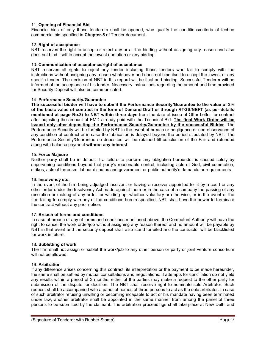## 11. Opening of Financial Bid

Financial bids of only those tenderers shall be opened, who qualify the conditions/criteria of techno commercial bid specified in Chapter-5 of Tender document.

## 12. Right of acceptance

NBT reserves the right to accept or reject any or all the bidding without assigning any reason and also does not bind itself to accept the lowest quotation or any bidding.

## 13. Communication of acceptance/right of acceptance

NBT reserves all rights to reject any tender including those tenders who fail to comply with the instructions without assigning any reason whatsoever and does not bind itself to accept the lowest or any specific tender. The decision of NBT in this regard will be final and binding. Successful Tenderer will be informed of the acceptance of his tender. Necessary instructions regarding the amount and time provided for Security Deposit will also be communicated.

#### 14. Performance Security/Guarantee

The successful bidder will have to submit the Performance Security/Guarantee to the value of 3% of the basic value of contract in the form of Demand Draft or through RTGS/NEFT (as per details mentioned at page No.3) to NBT within three days from the date of issue of Offer Letter for contract after adjusting the amount of EMD already paid with the Technical Bid. The final Work Order will be issued only after depositing the Performance Security/Guarantee by the successful Bidder. The Performance Security will be forfeited by NBT in the event of breach or negligence or non-observance of any condition of contract or in case the fabrication is delayed beyond the period stipulated by NBT. The Performance Security/Guarantee so deposited will be retained till conclusion of the Fair and refunded along with balance payment without any interest.

#### 15. Force Majeure

Neither party shall be in default if a failure to perform any obligation hereunder is caused solely by supervening conditions beyond that party's reasonable control, including acts of God, civil commotion, strikes, acts of terrorism, labour disputes and government or public authority's demands or requirements.

#### 16. Insolvency etc.

In the event of the firm being adjudged insolvent or having a receiver appointed for it by a court or any other order under the Insolvency Act made against them or in the case of a company the passing of any resolution or making of any order for winding up, whether voluntary or otherwise, or in the event of the firm failing to comply with any of the conditions herein specified, NBT shall have the power to terminate the contract without any prior notice.

#### 17. Breach of terms and conditions

In case of breach of any of terms and conditions mentioned above, the Competent Authority will have the right to cancel the work order/job without assigning any reason thereof and no amount will be payable by NBT in that event and the security deposit shall also stand forfeited and the contractor will be blacklisted for work in future.

#### 18. Subletting of work

The firm shall not assign or sublet the work/job to any other person or party or joint venture consortium will not be allowed.

#### 19. Arbitration

If any difference arises concerning this contract, its interpretation or the payment to be made hereunder, the same shall be settled by mutual consultations and negotiations. If attempts for conciliation do not yield any results within a period of 3 months, either of the parties may make a request to the other party for submission of the dispute for decision. The NBT shall reserve right to nominate sole Arbitrator. Such request shall be accompanied with a panel of names of three persons to act as the sole arbitrator. In case of such arbitrator refusing unwilling or becoming incapable to act or his mandate having been terminated under law, another arbitrator shall be appointed in the same manner from among the panel of three persons to be submitted by the claimant. The arbitration proceedings shall take place at New Delhi and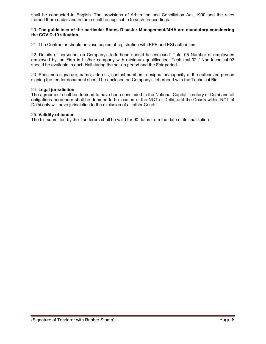shall be conducted in English. The provisions of Arbitration and Conciliation Act, 1990 and the rules framed there under and in force shall be applicable to such proceedings.

#### 20. The guidelines of the particular States Disaster Management/MHA are mandatory considering the COVID-19 situation.

21. The Contractor should enclose copies of registration with EPF and ESI authorities.

22. Details of personnel on Company's letterhead should be enclosed: Total 05 Number of employees employed by the Firm in his/her company with minimum qualification: Technical-02 / Non-technical-03 should be available in each Hall during the set-up period and the Fair period.

23. Specimen signature, name, address, contact numbers, designation/capacity of the authorized person signing the tender document should be enclosed on Company's letterhead with the Technical Bid.

#### 24. Legal jurisdiction

The agreement shall be deemed to have been concluded in the National Capital Territory of Delhi and all obligations hereunder shall be deemed to be located at the NCT of Delhi, and the Courts within NCT of Delhi only will have jurisdiction to the exclusion of all other Courts.

#### 25. Validity of tender

The bid submitted by the Tenderers shall be valid for 90 dates from the date of its finalization.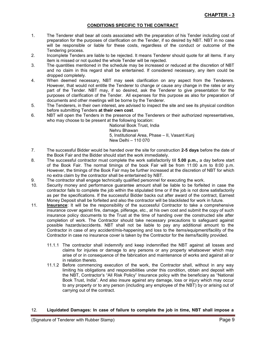## CONDITIONS SPECIFIC TO THE CONTRACT

- 1. The Tenderer shall bear all costs associated with the preparation of his Tender including cost of preparation for the purposes of clarification on the Tender, if so desired by NBT. NBT in no case will be responsible or liable for these costs, regardless of the conduct or outcome of the Tendering process.
- 2. Incomplete Tenders are liable to be rejected. It means Tenderer should quote for all items. If any item is missed or not quoted the whole Tender will be rejected.
- 3. The quantities mentioned in the schedule may be increased or reduced at the discretion of NBT and no claim in this regard shall be entertained. If considered necessary, any item could be dropped completely.
- 4. When deemed necessary, NBT may seek clarification on any aspect from the Tenderers. However, that would not entitle the Tenderer to change or cause any change in the rates or any part of the Tender. NBT may, if so desired, ask the Tenderer to give presentation for the purposes of clarification of the Tender. All expenses for this purpose as also for preparation of documents and other meetings will be borne by the Tenderer.
- 5. The Tenderers, in their own interest, are advised to inspect the site and see its physical condition before submitting Tenders at their own cost.
- 6. NBT will open the Tenders in the presence of the Tenderers or their authorized representatives, who may choose to be present at the following location:

National Book Trust, India Nehru Bhawan 5, Institutional Area, Phase – II, Vasant Kunj New Delhi – 110 070

- 7. The successful Bidder would be handed over the site for construction 2-5 days before the date of the Book Fair and the Bidder should start the work immediately.
- 8. The successful contractor must complete the work satisfactorily till 5.00 p.m., a day before start of the Book Fair. The normal timings of the book Fair will be from 11:00 a.m to 8:00 p.m. However, the timings of the Book Fair may be further increased at the discretion of NBT for which no extra claim by the contractor shall be entertained by NBT.
- 9. The contractor shall engage technically qualified personnel for executing the work.
- 10. Security money and performance guarantee amount shall be liable to be forfeited in case the contractor fails to complete the job within the stipulated time or if the job is not done satisfactorily as per the specifications. If the successful Bidder backs out after award of the contract, Earnest Money Deposit shall be forfeited and also the contractor will be blacklisted for work in future.
- 11. Insurance: It will be the responsibility of the successful Contractor to take a comprehensive insurance cover against fire, damage, pilferage, etc., at his own cost and submit the copy of such insurance policy documents to the Trust at the time of handing over the constructed site after completion of work. The Contractor should take necessary precautions to safeguard against possible hazards/accidents. NBT shall not be liable to pay any additional amount to the Contractor in case of any accident/mis-happening and loss to the items/equipment/facility of the Contractor in case no insurance cover is taken by the Contractor for the items/facility provided.
	- 11.1.1 The contractor shall indemnify and keep indemnified the NBT against all losses and claims for injuries or damage to any persons or any property whatsoever which may arise of or in consequence of the fabrication and maintenance of works and against all or in relation thereto.
	- 11.1.2 Before commencing execution of the work, the Contractor shall, without in any way limiting his obligations and responsibilities under this condition, obtain and deposit with the NBT, Contractor's "All Risk Policy" Insurance policy with the beneficiary as "National Book Trust, India". And also insure against any damage, loss or injury which may occur to any property or to any person (including any employee of the NBT) by or arising out of carrying out of the contract.

## 12. Liquidated Damages: In case of failure to complete the job in time, NBT shall impose a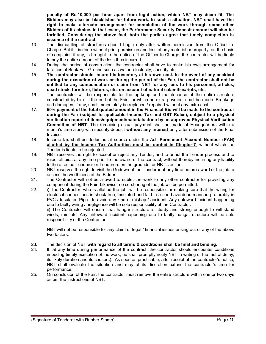penalty of Rs.10,000 per hour apart from legal action, which NBT may deem fit. The Bidders may also be blacklisted for future work. In such a situation, NBT shall have the right to make alternate arrangement for completion of the work through some other Bidders of its choice. In that event, the Performance Security Deposit amount will also be forfeited. Considering the above fact, both the parties agree that timely completion is essence of the contract.

- 13. The dismantling of structures should begin only after written permission from the Officer-In-Charge. But if it is done without prior permission and loss of any material or property, on the basis of complaint, if any, is brought to the notice of the Officer-In-Charge, the contractor will be liable to pay the entire amount of the loss thus incurred.
- 14. During the period of construction, the contractor shall have to make his own arrangement for facilities at Book Fair Ground such as water, electricity, security etc.
- 15. The contractor should insure his inventory at his own cost. In the event of any accident during the execution of work or during the period of the Fair, the contractor shall not be entitled to any compensation or claim from NBT for any loss to his personnel, articles, dead stock, furniture, fixtures, etc. on account of natural calamities/riots, etc.
- 16. The contractor will be responsible for the up-keep and maintenance of the entire structure constructed by him till the end of the Fair, for which no extra payment shall be made. Breakage and damages, if any, shall immediately be replaced / repaired without any extra cost.
- 17. 50% payment of the total quoted amount in the Financial Bid will be made to the contractor during the Fair (subject to applicable Income Tax and GST Rules), subject to a physical verification report of items/equipment/materials done by an approved Physical Verification Committee of NBT. The remaining actual payment shall be made at Headquarters within a month's time along with security deposit without any interest only after submission of the Final Invoice.
- 18. Income tax shall be deducted at source under the Act. Permanent Account Number (PAN) allotted by the Income Tax Authorities must be quoted in Chapter-7, without which the Tender is liable to be rejected.
- 19. NBT reserves the right to accept or reject any Tender, and to annul the Tender process and to reject all bids at any time prior to the award of the contract, without thereby incurring any liability to the affected Tenderer or Tenderers on the grounds for NBT's action.
- 20. NBT reserves the right to visit the Godown of the Tenderer at any time before award of the job to assess the worthiness of the Bidder.
- 21. The Contractor will not be allowed to sublet the work to any other contractor for providing any component during the Fair. Likewise, no co-sharing of the job will be permitted.
- 22. i) The Contractor, who is allotted the job, will be responsible for making sure that the wiring for electrical connections is shock free, insulated and laid in a non-hazardous manner, preferably in PVC / Insulated Pipe , to avoid any kind of mishap / accident. Any untoward incident happening due to faulty wiring / negligence will be sole responsibility of the Contractor.

ii) The Contractor will ensure that hangar structure is sturdy and strong enough to withstand winds, rain etc. Any untoward incident happening due to faulty hangar structure will be sole responsibility of the Contractor.

NBT will not be responsible for any claim or legal / financial issues arising out of any of the above two factors.

## 23. The decision of NBT with regard to all terms & conditions shall be final and binding.

- 24. If, at any time during performance of the contract, the contractor should encounter conditions impeding timely execution of the work, he shall promptly notify NBT in writing of the fact of delay, its likely duration and its cause(s). As soon as practicable, after receipt of the contractor's notice, NBT shall evaluate the situation and may at its discretion extend the contractor's time for performance.
- 25. On conclusion of the Fair, the contractor must remove the entire structure within one or two days as per the instructions of NBT.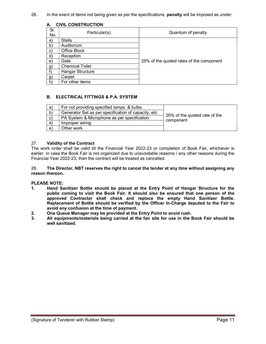26. In the event of items not being given as per the specifications, **penalty** will be imposed as under:

| <b>CIVIL CONSTRUCTION</b><br>А. |                         |                                          |  |  |
|---------------------------------|-------------------------|------------------------------------------|--|--|
| SI.<br>No.                      | Particular(s)           | Quantum of penalty                       |  |  |
| a)                              | <b>Stalls</b>           |                                          |  |  |
| $\mathbf{b}$                    | Auditorium              |                                          |  |  |
| C)                              | Office Block            |                                          |  |  |
| $\mathsf{d}$ )                  | Reception               |                                          |  |  |
| e)                              | Gate                    | 25% of the quoted rates of the component |  |  |
| $\mathbf{g}$                    | <b>Chemical Toilet</b>  |                                          |  |  |
| $f$ )                           | <b>Hangar Structure</b> |                                          |  |  |
| [g]                             | Carpet                  |                                          |  |  |
| h)                              | For other items         |                                          |  |  |

## B. ELECTRICAL FITTINGS & P.A. SYSTEM

| a            | For not providing specified lamps & bulbs            |                               |
|--------------|------------------------------------------------------|-------------------------------|
| $\mathbf{b}$ | Generator Set as per specification of capacity, etc. |                               |
| C)           | PA System & Microphone as per specification          | 20% of the quoted rate of the |
| $\mathsf{d}$ | Improper wiring                                      | component                     |
| e)           | Other work                                           |                               |

## 27. Validity of the Contract

The work order shall be valid till the Financial Year 2022-23 or completion of Book Fair, whichever is earlier. In case the Book Fair is not organized due to unavoidable reasons / any other reasons during the Financial Year 2022-23, then the contract will be treated as cancelled.

#### 28. The Director, NBT reserves the right to cancel the tender at any time without assigning any reason thereon.

## PLEASE NOTE:

- 1. Hand Sanitizer Bottle should be placed at the Entry Point of Hangar Structure for the public coming to visit the Book Fair. It should also be ensured that one person of the approved Contractor shall check and replace the empty Hand Sanitizer Bottle. Replacement of Bottle should be verified by the Officer In-Charge deputed to the Fair to avoid any confusion at the time of payment.
- 2. One Queue Manager may be provided at the Entry Point to avoid rush.
- 3. All equipments/materials being carried at the fair site for use in the Book Fair should be well sanitized.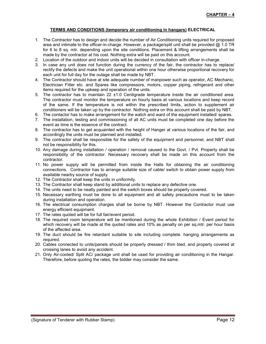## TERMS AND CONDITIONS (temporary air conditioning in hangars) ELECTRICAL

- 1. The Contractor has to design and decide the number of Air Conditioning units required for proposed area and intimate to the officer-in-charge. However, a package/split unit shall be provided @ 1.0 TR for 6 to 8 sq. mtr. depending upon the site conditions. Placement & lifting arrangements shall be made by the contractor at his cost. Nothing extra will be paid on this account.
- 2. Location of the outdoor and indoor units will be decided in consultation with officer in-charge.
- 3. In case any unit does not function during the currency of the fair, the contractor has to replace/ rectify the defects and make the unit operational within one hour otherwise proportional recovery for each unit for full day for the outage shall be made by NBT.
- 4. The Contractor should have at site adequate number of manpower such as operator, AC Mechanic, Electrician Fitter etc. and Spares like compressors, motors, copper piping, refrigerant and other items required for the upkeep and operation of the units.
- 5. The contractor has to maintain  $22 \pm 1.0$  Centigrade temperature inside the air conditioned area. The contractor must monitor the temperature on hourly basis at various locations and keep record of the same. If the temperature is not within the prescribed limits, action to supplement air conditioners will be taken up by the contractor. Nothing extra on this account shall be paid by NBT.
- 6. The contactor has to make arrangement for the watch and ward of the equipment installed/ spares.
- 7. The installation, testing and commissioning of all AC units must be completed one day before the event as time is the essence of the contract.
- 8. The contractor has to get acquainted with the height of Hanger at various locations of the fair, and accordingly the units must be planned and installed.
- 9. The contractor shall be responsible for the safety of the equipment and personnel, and NBT shall not be responsibility for this.
- 10. Any damage during installation / operation / removal caused to the Govt. / Pvt. Property shall be responsibility of the contractor. Necessary recovery shall be made on this account from the contractor.
- 11. No power supply will be permitted from inside the Halls for obtaining the air conditioning connections. Contractor has to arrange suitable size of cable/ switch to obtain power supply from available nearby source of supply.
- 12. The Contractor shall keep the units in uniformity.
- 13. The Contractor shall keep stand by additional units to replace any defective one.
- 14. The units need to be neatly painted and the switch boxes should be properly covered.
- 15. Necessary earthing must be done to all equipment and all safety precautions must to be taken during installation and operation.
- 16. The electrical consumption charges shall be borne by NBT. However the Contractor must use energy efficient equipment.
- 17. The rates quoted will be for full fair/event period.
- 18. The required room temperature will be mentioned during the whole Exhibition / Event period for which recovery will be made at the quoted rates and 10% as penalty on per sq.mtr. per hour basis of the affected area.
- 19. The duct should be fire retardant suitable to site including complete. hanging arrangements as required.
- 20. Cables connected to units/panels should be properly dressed / thim bled, and properly covered at crossing lanes to avoid any accident.
- 21. Only Air-cooled/ Split AC/ package unit shall be used for providing air conditioning in the Hangar. Therefore, before quoting the rates, the bidder may consider the same.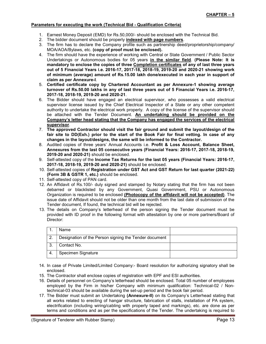## Parameters for executing the work (Technical Bid - Qualification Criteria)

- 1. Earnest Money Deposit (EMD) for Rs.50,000/- should be enclosed with the Technical Bid.
- 2. The bidder document should be properly indexed with page numbers.
- 3. The firm has to declare the Company profile such as partnership deed/proprietorship/company/ MOA/AOA/Bylaws, etc. (copy of proof must be enclosed).
- 4. The firm should have the experience of working with Central or State Government / Public Sector Undertakings or Autonomous bodies for 05 years in the similar field. (Please Note: It is mandatory to enclose the copies of three Completion certificates of any of last three years out of 5 Financial Years i.e. 2016-17, 2017-18, 2018-19, 2019-20 and 2020-21 showing work of minimum (average) amount of Rs.15.00 lakh done/executed in each year in support of claim as per Annexure-I.
- 5. Certified certificate copy by Chartered Accountant as per Annexure-1 showing average turnover of Rs.50.00 lakhs in any of last three years out of 5 Financial Years i.e. 2016-17, 2017-18, 2018-19, 2019-20 and 2020-21.
- 6. The Bidder should have engaged an electrical supervisor, who possesses a valid electrical supervisor license issued by the Chief Electrical Inspector of a State or any other competent authority to undertake the electrical work properly. A copy of the license of the supervisor should be attached with the Tender Document. An undertaking should be provided on the Company's letter head stating that the Company has engaged the services of the electrical supervisor.
- 7. The approved Contractor should visit the fair ground and submit the layout/design of the fair site to DD(Exh.) prior to the start of the Book Fair for final vetting. In case of any changes in the layout/designs, the same will be informed to the Contractor.
- 8. Audited copies of three years' Annual Accounts i.e. Profit & Loss Account, Balance Sheet, Annexures from the last 05 consecutive years (Financial Years: 2016-17, 2017-18, 2018-19, 2019-20 and 2020-21) should be enclosed.
- 9. Self-attested copy of the Income Tax Returns for the last 05 years (Financial Years: 2016-17, 2017-18, 2018-19, 2019-20 and 2020-21) should be enclosed.
- 10. Self-attested copies of Registration under GST Act and GST Return for last quarter (2021-22) (Form 3B & GSTR 1, etc.) should be enclosed.
- 11. Self-attested copy of PAN card.
- 12. An Affidavit of Rs.100/- duly signed and stamped by Notary stating that the firm has not been debarred or blacklisted by any Government, Quasi Government, PSU or Autonomous Organization is required to be enclosed (Photocopy of the affidavit will not be accepted). The issue date of Affidavit should not be older than one month from the last date of submission of the Tender document, If found, the technical bid will be rejected.
- 13. The details on Company's letterhead of the person signing the Tender document must be provided with ID proof in the following format with attestation by one or more partners/Board of Director:

|     | Name                                                  |  |
|-----|-------------------------------------------------------|--|
|     | Designation of the Person signing the Tender document |  |
|     | Contact No.                                           |  |
| -4. | Specimen Signature                                    |  |

- 14. In case of Private Limited/Limited Company:- Board resolution for authorizing signatory shall be enclosed.
- 15. The Contractor shall enclose copies of registration with EPF and ESI authorities.
- 16. Details of personnel on Company's letterhead should be enclosed. Total 05 number of employees employed by the Firm in his/her Company with minimum qualification: Technical-02 / Nontechnical-03 should be available during the set-up period and the book fair period.
- 17. The Bidder must submit an Undertaking (Annexure-II) on its Company's Letterhead stating that all works related to erecting of hangar structure, fabrication of stalls, installation of PA system, electrification (including wiring/cabling with properly taped and markings), etc. are done as per terms and conditions and as per the specifications of the Tender. The undertaking is required to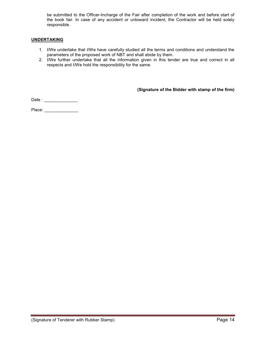be submitted to the Officer-Incharge of the Fair after completion of the work and before start of the book fair. In case of any accident or untoward incident, the Contractor will be held solely responsible.

## UNDERTAKING

- 1. I/We undertake that I/We have carefully studied all the terms and conditions and understand the parameters of the proposed work of NBT and shall abide by them.
- 2. I/We further undertake that all the information given in this tender are true and correct in all respects and I/We hold the responsibility for the same.

(Signature of the Bidder with stamp of the firm)

Date : \_\_\_\_\_\_\_\_\_\_\_\_\_\_\_\_\_\_\_\_\_\_\_

Place: **and the set of the set of the set of the set of the set of the set of the set of the set of the set of the set of the set of the set of the set of the set of the set of the set of the set of the set of the set of t**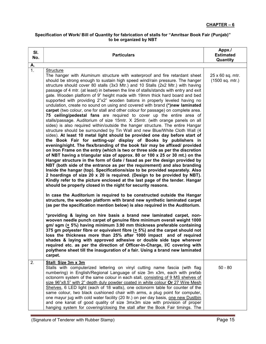# Specification of Work/ Bill of Quantity for fabrication of stalls for "Amritsar Book Fair (Punjab)" to be organized by NBT

| SI.<br>No.               | <b>Particulars</b>                                                                                                                                                                                                                                                                                                                                                                                                                                                                                                                                                                                                                                                                                                                                                                                                                                                                                                                                                                                                                                                                                                                                                                                                                                                                                                                                                                                                                                                                                                                                                                                                                                                                                                                                                                                                                                                                                                                                                                                                                                                                                                                                                                                                                                                                                                                                            | Appx./<br><b>Estimated</b><br>Quantity |
|--------------------------|---------------------------------------------------------------------------------------------------------------------------------------------------------------------------------------------------------------------------------------------------------------------------------------------------------------------------------------------------------------------------------------------------------------------------------------------------------------------------------------------------------------------------------------------------------------------------------------------------------------------------------------------------------------------------------------------------------------------------------------------------------------------------------------------------------------------------------------------------------------------------------------------------------------------------------------------------------------------------------------------------------------------------------------------------------------------------------------------------------------------------------------------------------------------------------------------------------------------------------------------------------------------------------------------------------------------------------------------------------------------------------------------------------------------------------------------------------------------------------------------------------------------------------------------------------------------------------------------------------------------------------------------------------------------------------------------------------------------------------------------------------------------------------------------------------------------------------------------------------------------------------------------------------------------------------------------------------------------------------------------------------------------------------------------------------------------------------------------------------------------------------------------------------------------------------------------------------------------------------------------------------------------------------------------------------------------------------------------------------------|----------------------------------------|
|                          |                                                                                                                                                                                                                                                                                                                                                                                                                                                                                                                                                                                                                                                                                                                                                                                                                                                                                                                                                                                                                                                                                                                                                                                                                                                                                                                                                                                                                                                                                                                                                                                                                                                                                                                                                                                                                                                                                                                                                                                                                                                                                                                                                                                                                                                                                                                                                               |                                        |
| $\frac{\mathsf{A}}{1}$ . | <b>Structure</b><br>The hanger with Aluminum structure with waterproof and fire retardant sheet<br>should be strong enough to sustain high speed wind/rain pressure. The hanger<br>structure should cover 80 stalls (3x3 Mtr.) and 10 Stalls (2x2 Mtr.) with having<br>passage of 4 mtr. (at least) in between the line of stalls/stands with entry and exit<br>gate. Wooden platform of 9" height made with 19mm thick hard board and bed<br>supported with providing 2"x2" wooden batons in properly leveled having no<br>undulation, create no sound on using and covered with brand (*)new laminated<br>carpet (two colour, one for stall and other colour for passage) on complete area.<br>75 ceiling/pedestal fans are required to cover up the entire area of<br>stalls/passage. Auditorium of size 15mtr. X 25mtr. (with orange panels on all<br>sides) is also required within/outside the hanger structure. The entire Hangar<br>structure should be surrounded by Tin Wall and new Blue/White Cloth Wall (4<br>sides). At least 10 metal light should be provided one day before start of<br>the Book Fair for setting-up/ display of Books by publishers in<br>evening/night. The flex/branding of the book fair may be affixed/ provided<br>on Iron Frame on the entry (which is two or three side as per the discretion<br>of NBT having a triangular size of approx. 80 or 100 x 25 or 30 mt.) on the<br>Hangar structure in the form of Gate / fasad as per the design provided by<br>NBT (both side of the entrance as per the requirement) and also branding<br>Inside the hangar (top). Specifications/size to be provided separately. Also<br>2 hoardings of size 20 x 20 is required. (Design to be provided by NBT).<br>Kindly refer to the picture enclosed at the last page of the tender. Hangar<br>should be properly closed in the night for security reasons.<br>In case the Auditorium is required to be constructed outside the Hangar<br>structure, the wooden platform with brand new synthetic laminated carpet<br>(as per the specification mention below) is also required in the Auditorium.<br>*providing & laying on hire basis a brand new laminated carpet, non-<br>wooven needle punch carpet of genuine fibre minimum overall weight 1000<br>gm/ sgm (+ 5%) having minimum 3.90 mm thickness preferable containing | 25 x 60 sq. mtr.<br>(1500 sq. mtr.)    |
|                          | 375 gm polyester fibre or equivalent fibre (+ 5%) and the carpet should not<br>loss the thickness more than 25% after 1000 impact and of required<br>shades & laying with approved adhesive or double side tape wherever<br>required etc. as per the direction of Officer-In-Charge, I/C covering with<br>polythene sheet till the inauguration of a fair. Using a brand new laminated<br>carpet.                                                                                                                                                                                                                                                                                                                                                                                                                                                                                                                                                                                                                                                                                                                                                                                                                                                                                                                                                                                                                                                                                                                                                                                                                                                                                                                                                                                                                                                                                                                                                                                                                                                                                                                                                                                                                                                                                                                                                             |                                        |
| 2.                       | Stall: Size 3m x 3m<br>Stalls with computerized lettering on vinyl cutting name fascia (with flag<br>numbering) in English/Regional Language of size 3m x3m, each with prefab<br>octonorm system of the same colour in each stall, consisting of 9 MS shelves of<br>size 96"x8.5" with 2" depth duly powder coated in white colour Or 27 Wire Mesh<br>Shelves, 6 LED light (each of 18 watts), one octonorm table for counter of the<br>same colour, two black cushioned chair with arms, a plug point for computer,<br>one mayur jug with cold water facility (20 ltr.) on per day basis, one new Dustbin<br>and one kanat of good quality of size 3mx3m size with provision of proper<br>hanging system for covering/closing the stall after the Book Fair timings. The                                                                                                                                                                                                                                                                                                                                                                                                                                                                                                                                                                                                                                                                                                                                                                                                                                                                                                                                                                                                                                                                                                                                                                                                                                                                                                                                                                                                                                                                                                                                                                                     | $50 - 80$                              |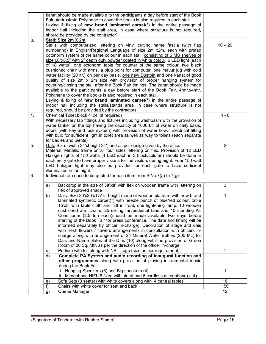|    |    | kanat should be made available to the participants a day before start of the Book      |                |
|----|----|----------------------------------------------------------------------------------------|----------------|
|    |    | Fair. 4mtr.x4mtr. Polythene to cover the books is also required in each stall.         |                |
|    |    | Laying & fixing of new brand laminated carpet(*) in the entire passage of              |                |
|    |    | indoor hall including the stall area, in case where structure is not required,         |                |
|    |    | should be provided by the contractor)                                                  |                |
| 3. |    | Stall: Size 2m X 2m                                                                    |                |
|    |    | Stalls with computerized lettering on vinyl cutting name fascia (with flag             | $10 - 20$      |
|    |    | numbering) in English/Regional Language of size 2m x2m, each with prefab               |                |
|    |    | octonorm system of the same colour in each stall, consisting of 6 MS shelves of        |                |
|    |    | size 60"x8.5" with 2" depth duly powder coated in white colour, 6 LED light (each      |                |
|    |    | of 18 watts), one octonorm table for counter of the same colour, two black             |                |
|    |    | cushioned chair with arms, a plug point for computer, one mayur jug with cold          |                |
|    |    | water facility (20 ltr.) on per day basis, one new Dustbin and one kanat of good       |                |
|    |    | quality of size 2m x 2m size with provision of proper hanging system for               |                |
|    |    | covering/closing the stall after the Book Fair timings. The kanat should be made       |                |
|    |    | available to the participants a day before start of the Book Fair. 4mtr.x4mtr.         |                |
|    |    | Polythene to cover the books is also required in each stall.                           |                |
|    |    | Laying & fixing of new brand laminated carpet( $*$ ) in the entire passage of          |                |
|    |    | indoor hall including the stalls/stands area, in case where structure is not           |                |
|    |    | required, should be provided by the contractor)                                        |                |
| 4. |    | Chemical Toilet block 4' x4' (if required)                                             | $4 - 6$        |
|    |    | With necessary tap fittings and fixtures including washbasin with the provision of     |                |
|    |    | water tanker on the top having the capacity of 1000 Ltr of water on daily basis,       |                |
|    |    | doors (with key and lock system) with provision of water flow. Electrical fitting      |                |
|    |    | with bulb for sufficient light in toilet area as well as way to toilets (each separate |                |
|    |    | for Ladies and Gents)                                                                  |                |
| 5. |    | Gate Size: (width 24'xheight 24') and as per design given by the office                | $\overline{2}$ |
|    |    | Material: Metallic frame on all four sides lettering on flex. Provision of 12 LED      |                |
|    |    | Halogen lights of 150 watts (4 LED each in 3 block/column) should be done in           |                |
|    |    | each entry gate to have proper visions for the visitors during night. Four 150 watt    |                |
|    |    | LED halogen light may also be provided for each gate to have sufficient                |                |
|    |    | illumination in the night.                                                             |                |
| 6. |    | Individual rate need to be quoted for each item from $S.No.7(a)$ to $7(g)$             |                |
|    |    |                                                                                        |                |
|    | a) | Backdrop in the size of 30'x8' with flex on wooden frame with lettering on             | 3              |
|    |    | flex of approved shade                                                                 |                |
|    | b) | Dais: Size 30'x20'x11/2' in height made of wooden platform with new brand              | $\mathbf 1$    |
|    |    | laminated synthetic carpet(*) with needle punch of blue/red colour; table              |                |
|    |    | 15'x3' with table cloth and frill in front, one lightening lamp, 10 wooden             |                |
|    |    | cushioned arm chairs, 25 ceiling fan/pedestal fans and 10 standing Air                 |                |
|    |    | Conditioner (2.5 ton each)should be made available two days before                     |                |
|    |    | starting of the Book Fair for press conference. The date and timing will be            |                |
|    |    | informed separately by officer In-charge). Decoration of stage and dais                |                |
|    |    | with fresh flowers / flowers arrangements in consultation with officers in-            |                |
|    |    | charge along with arrangement of 24 Mineral Water Bottles (200 ML) for                 |                |
|    |    | Dais and Name plates at the Dias (10) along with the provision of Green                |                |
|    |    | Room of 36 Sq. Mtr. as per the direction of the officer in-charge.                     |                |
|    | c) | Podium with frill along with NBT Logo (size as per requirement)                        | 1              |
|    | d) | Complete PA System and audio recording of inaugural function and                       |                |
|    |    | other programmes along with provision of playing instrumental music                    |                |
|    |    | during the Book Fair                                                                   |                |
|    |    | Hanging Speakers (6) and Big speakers (4)                                              | 1              |
|    |    | Microphone HIFI (8 fixed with stand and 6 cordless microphone) (14)<br>Ш.              |                |
|    | e) | Sofa Sets (3 seater) with white covers along with 4 central tables                     | 16             |
|    | f) | Chairs with white cover for seat and back                                              | 150            |
|    | g) | Queue Manager                                                                          | 12             |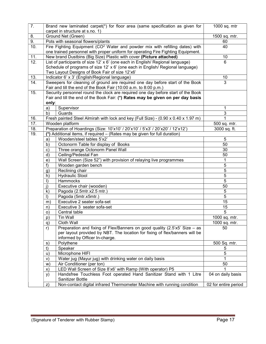| 7.                |               | Brand new laminated carpet(*) for floor area (same specification as given for<br>carpet in structure at s.no. 1) | 1000 sq. mtr         |
|-------------------|---------------|------------------------------------------------------------------------------------------------------------------|----------------------|
| 8.                |               | Ground Net (Green)                                                                                               | 1500 sq. mtr.        |
| 9.                |               | Pots with seasonal flowers/plants                                                                                | 60                   |
| 10.               |               | Fire Fighting Equipment (CO <sup>2</sup> Water and powder mix with refilling dates) with                         | 40                   |
|                   |               | one trained personnel with proper uniform for operating Fire Fighting Equipment.                                 |                      |
| 11.               |               | New brand Dustbins (Big Size) Plastic with cover (Picture attached)                                              | 10                   |
| 12.               |               | List of participants of size 12' x 6' (one each in English/ Regional language)                                   | 6                    |
|                   |               | Schedule of programs of size 12' x 6' (one each in English/Regional language)                                    |                      |
|                   |               | Two Layout Designs of Book Fair of size 12'x6'                                                                   |                      |
| 13.               |               | Indicator 6' x 3' (English/Regional language)                                                                    | 10                   |
| $\overline{14}$ . |               | Sweepers for cleaning of ground are required one day before start of the Book                                    | 3                    |
|                   |               | Fair and till the end of the Book Fair (10:00 a.m. to 8:00 p.m.)                                                 |                      |
| 15.               |               | Security personnel round the clock are required one day before start of the Book                                 |                      |
|                   |               | Fair and till the end of the Book Fair: (*) Rates may be given on per day basis                                  |                      |
|                   | only:         |                                                                                                                  |                      |
|                   | a)            | Supervisor                                                                                                       | 1                    |
|                   | b)            | Guards                                                                                                           | 3                    |
| 16.               |               | Fresh painted Steel Almirah with lock and key (Full Size) - (0.90 x 0.40 x 1.97 m)                               | 1                    |
| $\overline{17}$ . |               | Wooden platform                                                                                                  | 500 sq. mtr.         |
| 18.               |               | Preparation of Hoardings (Size: 10'x10' / 20'x10' / 5'x3' / 20'x20' / 12'x12')                                   | 3000 sq. ft.         |
| $\overline{19}$ . |               | (*) Additional items, if required - (Rates may be given for full duration)                                       |                      |
|                   | a)            | Wooden/steel tables 5'x2'                                                                                        | 5                    |
|                   | b)            | Octonorm Table for display of Books                                                                              | 50                   |
|                   | $\mathbf{c})$ | Three orange Octonorm Panel Wall                                                                                 | 30                   |
|                   | d)            | Ceiling/Pedestal Fan                                                                                             | 50                   |
|                   | e)            | Wall Screen (Size 52") with provision of relaying live programmes                                                | 1                    |
|                   | f)            | Wooden garden bench                                                                                              | 5                    |
|                   | g)            | Reclining chair                                                                                                  | 5                    |
|                   | h)            | <b>Hydraulic Stool</b>                                                                                           | 5                    |
|                   | $\vert$ )     | Hammocks                                                                                                         | $\overline{5}$       |
|                   | i)            | Executive chair (wooden)                                                                                         | 50                   |
|                   | $\mathsf{k}$  | Pagoda (2.5mtr.x2.5 mtr.)                                                                                        | $\overline{5}$       |
|                   | $\vert$       | Pagoda (5mtr.x5mtr.)                                                                                             | $\overline{5}$       |
|                   | m)            | Executive 2 seater sofa-set                                                                                      | 15                   |
|                   | n)            | Executive 3 seater sofa-set                                                                                      | 15                   |
|                   | $\circ)$      | Central table                                                                                                    | $\overline{5}$       |
|                   | p)            | Tin Wall                                                                                                         | 1000 sq. mtr.        |
|                   | q)            | Cloth Wall                                                                                                       | 1000 sq. mtr.        |
|                   | r)            | Preparation and fixing of Flex/Banners on good quality (2.5'x5' Size - as                                        | 50                   |
|                   |               | per layout provided by NBT. The location for fixing of flex/banners will be                                      |                      |
|                   |               | informed by Officer In-charge.                                                                                   |                      |
|                   | S)            | Polythene                                                                                                        | 500 Sq. mtr.         |
|                   | t)            | Speaker                                                                                                          | 5                    |
|                   | u)            | Microphone HIFI                                                                                                  | 5                    |
|                   | V)            | Water jug (Mayur jug) with drinking water on daily basis                                                         |                      |
|                   | W)            | Air Conditioner (per ton)                                                                                        | 50                   |
|                   | X)            | LED Wall Screen of Size 8'x6' with Ramp (With operator) P5                                                       |                      |
|                   | y)            | Handsfree Touchless Foot operated Hand Sanitizer Stand with 1 Litre                                              | 04 on daily basis    |
|                   |               | Sanitizer Bottle                                                                                                 |                      |
|                   | Z)            | Non-contact digital infrared Thermometer Machine with running condition                                          | 02 for entire period |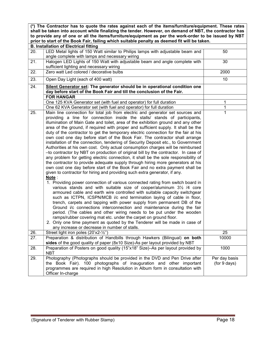(\*) The Contractor has to quote the rates against each of the items/furniture/equipment. These rates shall be taken into account while finalizing the tender. However, on demand of NBT, the contractor has to provide any of one or all the items/furniture/equipment as per the work-order to be issued by NBT prior to start of the Book Fair, failing which suitable penalty as deemed fit will be taken.

|     | <b>B. Installation of Electrical fitting</b>                                                                                                                                                                                                                                                                                                                                                                                                                                                                                                                                                                                                                                                                                                                                                                                                                                                                                                                                                                                                                                                                                                                                                                                                                                                                                                                                                                                                                                                                                                                                                                                                                                                                                                                                                                                                                                     |                               |  |  |
|-----|----------------------------------------------------------------------------------------------------------------------------------------------------------------------------------------------------------------------------------------------------------------------------------------------------------------------------------------------------------------------------------------------------------------------------------------------------------------------------------------------------------------------------------------------------------------------------------------------------------------------------------------------------------------------------------------------------------------------------------------------------------------------------------------------------------------------------------------------------------------------------------------------------------------------------------------------------------------------------------------------------------------------------------------------------------------------------------------------------------------------------------------------------------------------------------------------------------------------------------------------------------------------------------------------------------------------------------------------------------------------------------------------------------------------------------------------------------------------------------------------------------------------------------------------------------------------------------------------------------------------------------------------------------------------------------------------------------------------------------------------------------------------------------------------------------------------------------------------------------------------------------|-------------------------------|--|--|
| 20. | LED Metal lights of 150 Watt similar to Philips lamps with adjustable beam and<br>angle complete with lamps and necessary wiring                                                                                                                                                                                                                                                                                                                                                                                                                                                                                                                                                                                                                                                                                                                                                                                                                                                                                                                                                                                                                                                                                                                                                                                                                                                                                                                                                                                                                                                                                                                                                                                                                                                                                                                                                 | 50                            |  |  |
| 21. | Halogen LED Lights of 150 Watt with adjustable beam and angle complete with<br>sufficient lighting and necessary wiring                                                                                                                                                                                                                                                                                                                                                                                                                                                                                                                                                                                                                                                                                                                                                                                                                                                                                                                                                                                                                                                                                                                                                                                                                                                                                                                                                                                                                                                                                                                                                                                                                                                                                                                                                          | 30                            |  |  |
| 22. | Zero watt Led colored / decorative bulbs                                                                                                                                                                                                                                                                                                                                                                                                                                                                                                                                                                                                                                                                                                                                                                                                                                                                                                                                                                                                                                                                                                                                                                                                                                                                                                                                                                                                                                                                                                                                                                                                                                                                                                                                                                                                                                         | 2000                          |  |  |
| 23. | Open Day Light (each of 400 watt)                                                                                                                                                                                                                                                                                                                                                                                                                                                                                                                                                                                                                                                                                                                                                                                                                                                                                                                                                                                                                                                                                                                                                                                                                                                                                                                                                                                                                                                                                                                                                                                                                                                                                                                                                                                                                                                | 10                            |  |  |
| 24. | Silent Generator set: The generator should be in operational condition one<br>day before start of the Book Fair and till the conclusion of the Fair.                                                                                                                                                                                                                                                                                                                                                                                                                                                                                                                                                                                                                                                                                                                                                                                                                                                                                                                                                                                                                                                                                                                                                                                                                                                                                                                                                                                                                                                                                                                                                                                                                                                                                                                             |                               |  |  |
|     | <b>FOR HANGAR</b>                                                                                                                                                                                                                                                                                                                                                                                                                                                                                                                                                                                                                                                                                                                                                                                                                                                                                                                                                                                                                                                                                                                                                                                                                                                                                                                                                                                                                                                                                                                                                                                                                                                                                                                                                                                                                                                                |                               |  |  |
|     | One 125 KVA Generator set (with fuel and operator) for full duration                                                                                                                                                                                                                                                                                                                                                                                                                                                                                                                                                                                                                                                                                                                                                                                                                                                                                                                                                                                                                                                                                                                                                                                                                                                                                                                                                                                                                                                                                                                                                                                                                                                                                                                                                                                                             | 1                             |  |  |
|     | One 62 KVA Generator set (with fuel and operator) for full duration                                                                                                                                                                                                                                                                                                                                                                                                                                                                                                                                                                                                                                                                                                                                                                                                                                                                                                                                                                                                                                                                                                                                                                                                                                                                                                                                                                                                                                                                                                                                                                                                                                                                                                                                                                                                              | 1                             |  |  |
| 25. | Main line connection for total job from electric and generator set sources and<br>providing a line for connection inside the stalls/ stands of participants,<br>illumination of Main Gate and toilet, area of the exhibition ground and any other<br>area of the ground, if required with proper and sufficient supply. It shall be the<br>duty of the contractor to get the temporary electric connection for the fair at his<br>own cost one day before start of the Book Fair. The contractor shall arrange<br>installation of the connection, tendering of Security Deposit etc., to Government<br>Authorities at his own cost. Only actual consumption charges will be reimbursed<br>-to contractor by NBT on production of original bill by the contractor. In case of<br>any problem for getting electric connection, it shall be the sole responsibility of<br>the contractor to provide adequate supply through hiring more generators at his<br>own cost one day before start of the Book Fair and no extra payment shall be<br>given to contractor for hiring and providing such extra generator, if any.<br>Note:<br>1. Providing power connection of various connected rating from switch board in<br>various stands and with suitable size of cooper/aluminum 31/2 /4 core<br>armoured cable and earth wire controlled with suitable capacity switchgear<br>such as ICTPN, ICSPN/MCB i/c end termination laying of cable in floor,<br>trench, carpets and tapping with power supply from permanent DB of the<br>Ground i/c connections interconnection and maintenance during the fair<br>period. (The cables and other wiring needs to be put under the wooden<br>ramps/rubber covering mat etc. under the carpet on ground floor.<br>2. Only one time payment as quoted by the Tenderer will be made in case of<br>any increase or decrease in number of stalls. | 1                             |  |  |
| 26. | Street light iron poles (20'x2-1/2")                                                                                                                                                                                                                                                                                                                                                                                                                                                                                                                                                                                                                                                                                                                                                                                                                                                                                                                                                                                                                                                                                                                                                                                                                                                                                                                                                                                                                                                                                                                                                                                                                                                                                                                                                                                                                                             | 25                            |  |  |
| 27. | Preparation & distribution of Handbills through Hawkers (Bilingual) on both<br>sides of the good quality of paper (8x10 Size)-As per layout provided by NBT                                                                                                                                                                                                                                                                                                                                                                                                                                                                                                                                                                                                                                                                                                                                                                                                                                                                                                                                                                                                                                                                                                                                                                                                                                                                                                                                                                                                                                                                                                                                                                                                                                                                                                                      | 10000                         |  |  |
| 28. | Preparation of Posters on good quality (15"x18" Size)-As per layout provided by<br><b>NBT</b>                                                                                                                                                                                                                                                                                                                                                                                                                                                                                                                                                                                                                                                                                                                                                                                                                                                                                                                                                                                                                                                                                                                                                                                                                                                                                                                                                                                                                                                                                                                                                                                                                                                                                                                                                                                    | 1000                          |  |  |
| 29. | Photography (Photographs should be provided in the DVD and Pen Drive after<br>the Book Fair). 100 photographs of inauguration and other important<br>programmes are required in high Resolution in Album form in consultation with<br>Officer In-charge                                                                                                                                                                                                                                                                                                                                                                                                                                                                                                                                                                                                                                                                                                                                                                                                                                                                                                                                                                                                                                                                                                                                                                                                                                                                                                                                                                                                                                                                                                                                                                                                                          | Per day basis<br>(for 9 days) |  |  |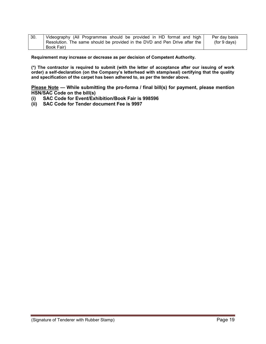| 30. | Videography (All Programmes should be provided in HD format and high                      | Per day basis |
|-----|-------------------------------------------------------------------------------------------|---------------|
|     | ' Resolution. The same should be provided in the DVD and Pen Drive after the <sub>1</sub> | (for 9 days)  |
|     | Book Fair)                                                                                |               |

Requirement may increase or decrease as per decision of Competent Authority.

(\*) The contractor is required to submit (with the letter of acceptance after our issuing of work order) a self-declaration (on the Company's letterhead with stamp/seal) certifying that the quality and specification of the carpet has been adhered to, as per the tender above.

Please Note — While submitting the pro-forma / final bill(s) for payment, please mention HSN/SAC Code on the bill(s)

- (i) SAC Code for Event/Exhibition/Book Fair is 998596
- (ii) SAC Code for Tender document Fee is 9997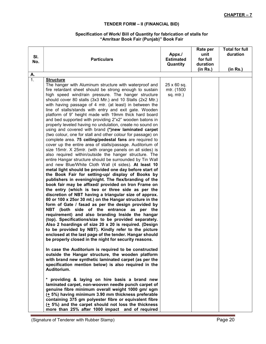# TENDER FORM – II (FINANCIAL BID)

#### Specification of Work/ Bill of Quantity for fabrication of stalls for "Amritsar Book Fair (Punjab)" Book Fair

| А.<br>$\overline{1}$ .<br><b>Structure</b><br>25 x 60 sq.<br>The hanger with Aluminum structure with waterproof and<br>mtr. (1500<br>fire retardant sheet should be strong enough to sustain<br>high speed wind/rain pressure. The hanger structure<br>sq. mtr.)<br>should cover 80 stalls (3x3 Mtr.) and 10 Stalls (2x2 Mtr.)<br>with having passage of 4 mtr. (at least) in between the<br>line of stalls/stands with entry and exit gate. Wooden<br>platform of 9" height made with 19mm thick hard board<br>and bed supported with providing 2"x2" wooden batons in<br>properly leveled having no undulation, create no sound on<br>using and covered with brand (*)new laminated carpet<br>(two colour, one for stall and other colour for passage) on<br>complete area. 75 ceiling/pedestal fans are required to<br>cover up the entire area of stalls/passage. Auditorium of<br>size 15mtr. X 25mtr. (with orange panels on all sides) is<br>also required within/outside the hanger structure. The<br>entire Hangar structure should be surrounded by Tin Wall<br>and new Blue/White Cloth Wall (4 sides). At least 10<br>metal light should be provided one day before start of<br>the Book Fair for setting-up/ display of Books by<br>publishers in evening/night. The flex/branding of the<br>book fair may be affixed/ provided on Iron Frame on<br>the entry (which is two or three side as per the | <b>Total for full</b><br>Rate per<br>duration<br>unit<br>for full<br>duration<br>(in Rs.)<br>(in Rs.) |
|-------------------------------------------------------------------------------------------------------------------------------------------------------------------------------------------------------------------------------------------------------------------------------------------------------------------------------------------------------------------------------------------------------------------------------------------------------------------------------------------------------------------------------------------------------------------------------------------------------------------------------------------------------------------------------------------------------------------------------------------------------------------------------------------------------------------------------------------------------------------------------------------------------------------------------------------------------------------------------------------------------------------------------------------------------------------------------------------------------------------------------------------------------------------------------------------------------------------------------------------------------------------------------------------------------------------------------------------------------------------------------------------------------------------|-------------------------------------------------------------------------------------------------------|
|                                                                                                                                                                                                                                                                                                                                                                                                                                                                                                                                                                                                                                                                                                                                                                                                                                                                                                                                                                                                                                                                                                                                                                                                                                                                                                                                                                                                                   |                                                                                                       |
| discretion of NBT having a triangular size of approx.<br>80 or 100 x 25or 30 mt.) on the Hangar structure in the<br>form of Gate / fasad as per the design provided by<br>NBT (both side of the entrance as per the<br>requirement) and also branding Inside the hangar<br>(top). Specifications/size to be provided separately.<br>Also 2 hoardings of size 20 x 20 is required. (Design<br>to be provided by NBT). Kindly refer to the picture<br>enclosed at the last page of the tender. Hangar should<br>be properly closed in the night for security reasons.<br>In case the Auditorium is required to be constructed<br>outside the Hangar structure, the wooden platform<br>with brand new synthetic laminated carpet (as per the<br>specification mention below) is also required in the<br>Auditorium.<br>* providing & laying on hire basis a brand new<br>laminated carpet, non-wooven needle punch carpet of<br>genuine fibre minimum overall weight 1000 gm/ sgm<br>(+ 5%) having minimum 3.90 mm thickness preferable<br>containing 375 gm polyester fibre or equivalent fibre<br>$(1, 5%)$ and the carpet should not loss the thickness                                                                                                                                                                                                                                                           |                                                                                                       |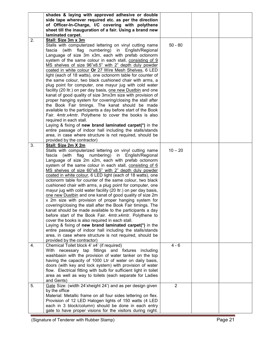|    | shades & laying with approved adhesive or double                  |                |  |
|----|-------------------------------------------------------------------|----------------|--|
|    | side tape wherever required etc. as per the direction             |                |  |
|    | of Officer-In-Charge, I/C covering with polythene                 |                |  |
|    | sheet till the inauguration of a fair. Using a brand new          |                |  |
|    | laminated carpet.                                                 |                |  |
| 2. | Stall: Size 3m x 3m                                               |                |  |
|    | Stalls with computerized lettering on vinyl cutting name          | $50 - 80$      |  |
|    | fascia (with flag<br>numbering) in English/Regional               |                |  |
|    |                                                                   |                |  |
|    | Language of size 3m x3m, each with prefab octonorm                |                |  |
|    | system of the same colour in each stall, consisting of 9          |                |  |
|    | MS shelves of size 96"x8.5" with 2" depth duly powder             |                |  |
|    | coated in white colour Or 27 Wire Mesh Shelves, 6 LED             |                |  |
|    | light (each of 18 watts), one octonorm table for counter of       |                |  |
|    | the same colour, two black cushioned chair with arms, a           |                |  |
|    | plug point for computer, one mayur jug with cold water            |                |  |
|    | facility (20 ltr.) on per day basis, one new Dustbin and one      |                |  |
|    | kanat of good quality of size 3mx3m size with provision of        |                |  |
|    | proper hanging system for covering/closing the stall after        |                |  |
|    | the Book Fair timings. The kanat should be made                   |                |  |
|    | available to the participants a day before start of the Book      |                |  |
|    | Fair. 4mtr.x4mtr. Polythene to cover the books is also            |                |  |
|    | required in each stall.                                           |                |  |
|    | Laying & fixing of new brand laminated carpet(*) in the           |                |  |
|    | entire passage of indoor hall including the stalls/stands         |                |  |
|    | area, in case where structure is not required, should be          |                |  |
|    |                                                                   |                |  |
|    | provided by the contractor)                                       |                |  |
| 3. | Stall: Size 2m X 2m                                               |                |  |
|    | Stalls with computerized lettering on vinyl cutting name          | $10 - 20$      |  |
|    | fascia (with flag numbering) in English/Regional                  |                |  |
|    | Language of size 2m x2m, each with prefab octonorm                |                |  |
|    | system of the same colour in each stall, consisting of 6          |                |  |
|    | MS shelves of size 60"x8.5" with 2" depth duly powder             |                |  |
|    | coated in white colour, 6 LED light (each of 18 watts), one       |                |  |
|    | octonorm table for counter of the same colour, two black          |                |  |
|    | cushioned chair with arms, a plug point for computer, one         |                |  |
|    | mayur jug with cold water facility (20 ltr.) on per day basis,    |                |  |
|    | one new Dustbin and one kanat of good quality of size 2m          |                |  |
|    | x 2m size with provision of proper hanging system for             |                |  |
|    | covering/closing the stall after the Book Fair timings. The       |                |  |
|    | kanat should be made available to the participants a day          |                |  |
|    | before start of the Book Fair. 4mtr.x4mtr. Polythene to           |                |  |
|    | cover the books is also required in each stall.                   |                |  |
|    | Laying & fixing of new brand laminated carpet(*) in the           |                |  |
|    | entire passage of indoor hall including the stalls/stands         |                |  |
|    | area, in case where structure is not required, should be          |                |  |
|    | provided by the contractor)                                       |                |  |
|    | Chemical Toilet block 4' x4' (if required)                        | $4 - 6$        |  |
| 4. | With necessary tap fittings and fixtures including                |                |  |
|    |                                                                   |                |  |
|    | washbasin with the provision of water tanker on the top           |                |  |
|    | having the capacity of 1000 Ltr of water on daily basis,          |                |  |
|    | doors (with key and lock system) with provision of water          |                |  |
|    | flow. Electrical fitting with bulb for sufficient light in toilet |                |  |
|    | area as well as way to toilets (each separate for Ladies          |                |  |
|    | and Gents)                                                        |                |  |
| 5. | Gate Size: (width 24'xheight 24') and as per design given         | $\overline{2}$ |  |
|    | by the office                                                     |                |  |
|    | Material: Metallic frame on all four sides lettering on flex.     |                |  |
|    | Provision of 12 LED Halogen lights of 150 watts (4 LED            |                |  |
|    | each in 3 block/column) should be done in each entry              |                |  |
|    | gate to have proper visions for the visitors during night.        |                |  |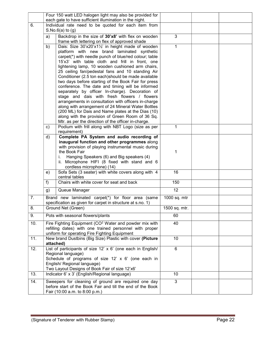|     | Four 150 watt LED halogen light may also be provided for                      |                                                                                                                 |                 |  |
|-----|-------------------------------------------------------------------------------|-----------------------------------------------------------------------------------------------------------------|-----------------|--|
| 6.  |                                                                               | each gate to have sufficient illumination in the night.<br>Individual rate need to be quoted for each item from |                 |  |
|     |                                                                               | $S.No.6(a)$ to $(g)$                                                                                            |                 |  |
|     | a)                                                                            | Backdrop in the size of 30'x8' with flex on wooden                                                              | 3               |  |
|     |                                                                               | frame with lettering on flex of approved shade                                                                  |                 |  |
|     | b)                                                                            | Dais: Size 30'x20'x11/2' in height made of wooden                                                               | 1               |  |
|     |                                                                               | platform with new brand laminated synthetic                                                                     |                 |  |
|     |                                                                               | carpet(*) with needle punch of blue/red colour; table<br>15'x3' with table cloth and frill in front, one        |                 |  |
|     |                                                                               | lightening lamp, 10 wooden cushioned arm chairs,                                                                |                 |  |
|     |                                                                               | 25 ceiling fan/pedestal fans and 10 standing Air                                                                |                 |  |
|     |                                                                               | Conditioner (2.5 ton each)should be made available                                                              |                 |  |
|     |                                                                               | two days before starting of the Book Fair for press                                                             |                 |  |
|     |                                                                               | conference. The date and timing will be informed                                                                |                 |  |
|     |                                                                               | separately by officer In-charge). Decoration of                                                                 |                 |  |
|     |                                                                               | stage and dais with fresh flowers / flowers                                                                     |                 |  |
|     |                                                                               | arrangements in consultation with officers in-charge<br>along with arrangement of 24 Mineral Water Bottles      |                 |  |
|     |                                                                               | (200 ML) for Dais and Name plates at the Dias (10)                                                              |                 |  |
|     |                                                                               | along with the provision of Green Room of 36 Sq.                                                                |                 |  |
|     |                                                                               | Mtr. as per the direction of the officer in-charge.                                                             |                 |  |
|     | c)                                                                            | Podium with frill along with NBT Logo (size as per                                                              | 1               |  |
|     |                                                                               | requirement)                                                                                                    |                 |  |
|     | d)                                                                            | Complete PA System and audio recording of                                                                       |                 |  |
|     |                                                                               | inaugural function and other programmes along<br>with provision of playing instrumental music during            |                 |  |
|     |                                                                               | the Book Fair                                                                                                   | 1               |  |
|     |                                                                               | Hanging Speakers (6) and Big speakers (4)                                                                       |                 |  |
|     |                                                                               | Microphone HIFI (8 fixed with stand and 6<br>II.                                                                |                 |  |
|     |                                                                               | cordless microphone) (14)                                                                                       |                 |  |
|     | e)                                                                            | Sofa Sets (3 seater) with white covers along with 4<br>central tables                                           | 16              |  |
|     | f)                                                                            | Chairs with white cover for seat and back                                                                       | 150             |  |
|     | g)                                                                            | Queue Manager                                                                                                   | 12              |  |
| 7.  |                                                                               | Brand new laminated carpet(*) for floor area (same                                                              | 1000 sq. mtr    |  |
|     |                                                                               | specification as given for carpet in structure at s.no. 1)                                                      |                 |  |
| 8.  |                                                                               | Ground Net (Green)                                                                                              | 1500 sq. mtr.   |  |
| 9.  |                                                                               | Pots with seasonal flowers/plants                                                                               | 60              |  |
| 10. |                                                                               | Fire Fighting Equipment (CO <sup>2</sup> Water and powder mix with                                              | 40              |  |
|     |                                                                               | refilling dates) with one trained personnel with proper<br>uniform for operating Fire Fighting Equipment        |                 |  |
| 11. |                                                                               |                                                                                                                 | 10 <sup>1</sup> |  |
|     | New brand Dustbins (Big Size) Plastic with cover (Picture<br>attached)        |                                                                                                                 |                 |  |
| 12. |                                                                               | List of participants of size 12' x 6' (one each in English/                                                     | $6\phantom{a}$  |  |
|     |                                                                               | Regional language)                                                                                              |                 |  |
|     |                                                                               | Schedule of programs of size 12' x 6' (one each in                                                              |                 |  |
|     | English/ Regional language)<br>Two Layout Designs of Book Fair of size 12'x6' |                                                                                                                 |                 |  |
| 13. |                                                                               | Indicator 6' x 3' (English/Regional language)                                                                   | 10 <sup>°</sup> |  |
| 14. |                                                                               | Sweepers for cleaning of ground are required one day                                                            | 3               |  |
|     |                                                                               | before start of the Book Fair and till the end of the Book                                                      |                 |  |
|     |                                                                               | Fair (10:00 a.m. to 8:00 p.m.)                                                                                  |                 |  |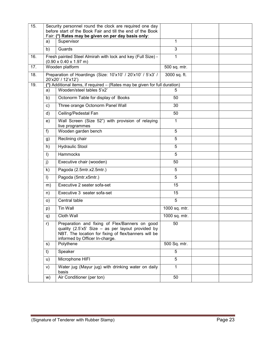| 15. |                                                     | Security personnel round the clock are required one day<br>before start of the Book Fair and till the end of the Book                                                                         |                |  |
|-----|-----------------------------------------------------|-----------------------------------------------------------------------------------------------------------------------------------------------------------------------------------------------|----------------|--|
|     | Fair: (*) Rates may be given on per day basis only: |                                                                                                                                                                                               |                |  |
|     | a)                                                  | Supervisor                                                                                                                                                                                    | 1              |  |
|     | b)                                                  | Guards                                                                                                                                                                                        | $\overline{3}$ |  |
| 16. |                                                     | Fresh painted Steel Almirah with lock and key (Full Size) -<br>$(0.90 \times 0.40 \times 1.97 \text{ m})$                                                                                     | 1              |  |
| 17. |                                                     | Wooden platform                                                                                                                                                                               | 500 sq. mtr.   |  |
| 18. |                                                     | Preparation of Hoardings (Size: 10'x10' / 20'x10' / 5'x3' /<br>20'x20' / 12'x12')                                                                                                             | 3000 sq. ft.   |  |
| 19. |                                                     | (*) Additional items, if required - (Rates may be given for full duration)                                                                                                                    |                |  |
|     | a)                                                  | Wooden/steel tables 5'x2'                                                                                                                                                                     | 5              |  |
|     | b)                                                  | Octonorm Table for display of Books                                                                                                                                                           | 50             |  |
|     | $\mathsf{c})$                                       | Three orange Octonorm Panel Wall                                                                                                                                                              | 30             |  |
|     | d)                                                  | Ceiling/Pedestal Fan                                                                                                                                                                          | 50             |  |
|     | e)                                                  | Wall Screen (Size 52") with provision of relaying<br>live programmes                                                                                                                          | $\mathbf{1}$   |  |
|     | f)                                                  | Wooden garden bench                                                                                                                                                                           | $\overline{5}$ |  |
|     | g)                                                  | Reclining chair                                                                                                                                                                               | 5              |  |
|     | h)                                                  | <b>Hydraulic Stool</b>                                                                                                                                                                        | 5              |  |
|     | $\vert$ )                                           | Hammocks                                                                                                                                                                                      | 5              |  |
|     | j)                                                  | Executive chair (wooden)                                                                                                                                                                      | 50             |  |
|     | $\mathsf{k}$                                        | Pagoda (2.5mtr.x2.5mtr.)                                                                                                                                                                      | 5              |  |
|     | $\vert$                                             | Pagoda (5mtr.x5mtr.)                                                                                                                                                                          | 5              |  |
|     | m)                                                  | Executive 2 seater sofa-set                                                                                                                                                                   | 15             |  |
|     | n)                                                  | Executive 3 seater sofa-set                                                                                                                                                                   | 15             |  |
|     | $\circ)$                                            | Central table                                                                                                                                                                                 | $\overline{5}$ |  |
|     | p)                                                  | Tin Wall                                                                                                                                                                                      | 1000 sq. mtr.  |  |
|     | q)                                                  | Cloth Wall                                                                                                                                                                                    | 1000 sq. mtr.  |  |
|     | r)                                                  | Preparation and fixing of Flex/Banners on good<br>quality (2.5'x5' Size - as per layout provided by<br>NBT. The location for fixing of flex/banners will be<br>informed by Officer In-charge. | 50             |  |
|     | s)                                                  | Polythene                                                                                                                                                                                     | 500 Sq. mtr.   |  |
|     | t)                                                  | Speaker                                                                                                                                                                                       | 5              |  |
|     | u)                                                  | Microphone HIFI                                                                                                                                                                               | 5              |  |
|     | V)                                                  | Water jug (Mayur jug) with drinking water on daily<br>basis                                                                                                                                   | $\mathbf{1}$   |  |
|     | w)                                                  | Air Conditioner (per ton)                                                                                                                                                                     | 50             |  |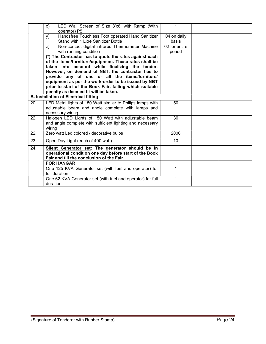|     | X)       | LED Wall Screen of Size 8'x6' with Ramp (With<br>operator) P5                                                                                                                                                                                                                                                                                                                                                                       | $\mathbf 1$             |  |
|-----|----------|-------------------------------------------------------------------------------------------------------------------------------------------------------------------------------------------------------------------------------------------------------------------------------------------------------------------------------------------------------------------------------------------------------------------------------------|-------------------------|--|
|     | y)       | Handsfree Touchless Foot operated Hand Sanitizer<br>Stand with 1 Litre Sanitizer Bottle                                                                                                                                                                                                                                                                                                                                             | 04 on daily<br>basis    |  |
|     | Z)       | Non-contact digital infrared Thermometer Machine<br>with running condition                                                                                                                                                                                                                                                                                                                                                          | 02 for entire<br>period |  |
|     |          | (*) The Contractor has to quote the rates against each<br>of the items/furniture/equipment. These rates shall be<br>taken into account while finalizing the tender.<br>However, on demand of NBT, the contractor has to<br>provide any of one or all the items/furniture/<br>equipment as per the work-order to be issued by NBT<br>prior to start of the Book Fair, failing which suitable<br>penalty as deemed fit will be taken. |                         |  |
|     |          | <b>B. Installation of Electrical fitting</b>                                                                                                                                                                                                                                                                                                                                                                                        |                         |  |
| 20. |          | LED Metal lights of 150 Watt similar to Philips lamps with<br>adjustable beam and angle complete with lamps and<br>necessary wiring                                                                                                                                                                                                                                                                                                 | 50                      |  |
| 22. | wiring   | Halogen LED Lights of 150 Watt with adjustable beam<br>and angle complete with sufficient lighting and necessary                                                                                                                                                                                                                                                                                                                    | 30                      |  |
| 22. |          | Zero watt Led colored / decorative bulbs                                                                                                                                                                                                                                                                                                                                                                                            | 2000                    |  |
| 23. |          | Open Day Light (each of 400 watt)                                                                                                                                                                                                                                                                                                                                                                                                   | 10 <sup>°</sup>         |  |
| 24. |          | Silent Generator set: The generator should be in<br>operational condition one day before start of the Book<br>Fair and till the conclusion of the Fair.                                                                                                                                                                                                                                                                             |                         |  |
|     |          | <b>FOR HANGAR</b>                                                                                                                                                                                                                                                                                                                                                                                                                   |                         |  |
|     |          | One 125 KVA Generator set (with fuel and operator) for<br>full duration                                                                                                                                                                                                                                                                                                                                                             | $\mathbf 1$             |  |
|     | duration | One 62 KVA Generator set (with fuel and operator) for full                                                                                                                                                                                                                                                                                                                                                                          | 1                       |  |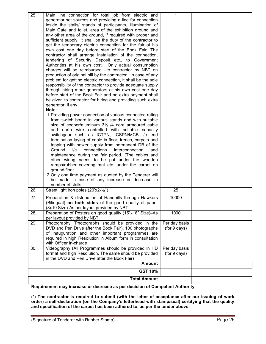| 25. | Main line connection for total job from electric and                           | 1             |  |
|-----|--------------------------------------------------------------------------------|---------------|--|
|     | generator set sources and providing a line for connection                      |               |  |
|     | inside the stalls/ stands of participants, illumination of                     |               |  |
|     | Main Gate and toilet, area of the exhibition ground and                        |               |  |
|     | any other area of the ground, if required with proper and                      |               |  |
|     | sufficient supply. It shall be the duty of the contractor to                   |               |  |
|     | get the temporary electric connection for the fair at his                      |               |  |
|     | own cost one day before start of the Book Fair. The                            |               |  |
|     | contractor shall arrange installation of the connection,                       |               |  |
|     | tendering of Security Deposit etc., to Government                              |               |  |
|     | Authorities at his own cost. Only actual consumption                           |               |  |
|     | charges will be reimbursed - to contractor by NBT on                           |               |  |
|     | production of original bill by the contractor. In case of any                  |               |  |
|     | problem for getting electric connection, it shall be the sole                  |               |  |
|     | responsibility of the contractor to provide adequate supply                    |               |  |
|     | through hiring more generators at his own cost one day                         |               |  |
|     | before start of the Book Fair and no extra payment shall                       |               |  |
|     | be given to contractor for hiring and providing such extra                     |               |  |
|     | generator, if any.                                                             |               |  |
|     | Note:                                                                          |               |  |
|     | 1. Providing power connection of various connected rating                      |               |  |
|     | from switch board in various stands and with suitable                          |               |  |
|     | size of cooper/aluminum 31/2 /4 core armoured cable                            |               |  |
|     | and earth wire controlled with suitable capacity                               |               |  |
|     | switchgear such as ICTPN, ICSPN/MCB i/c end                                    |               |  |
|     | termination laying of cable in floor, trench, carpets and                      |               |  |
|     | tapping with power supply from permanent DB of the                             |               |  |
|     | Ground<br>i/c<br>connections<br>interconnection<br>and                         |               |  |
|     | maintenance during the fair period. (The cables and                            |               |  |
|     | other wiring needs to be put under the wooden                                  |               |  |
|     | ramps/rubber covering mat etc. under the carpet on                             |               |  |
|     | ground floor.                                                                  |               |  |
|     | 2. Only one time payment as quoted by the Tenderer will                        |               |  |
|     | be made in case of any increase or decrease in                                 |               |  |
| 26. | number of stalls.<br>Street light iron poles (20'x2-1/2")                      | 25            |  |
|     |                                                                                |               |  |
| 27. | Preparation & distribution of Handbills through Hawkers                        | 10000         |  |
|     | (Bilingual) on both sides of the good quality of paper                         |               |  |
|     | (8x10 Size)-As per layout provided by NBT                                      |               |  |
| 28. | Preparation of Posters on good quality (15"x18" Size)-As                       | 1000          |  |
|     | per layout provided by NBT                                                     |               |  |
| 29. | Photography (Photographs should be provided in the                             | Per day basis |  |
|     | DVD and Pen Drive after the Book Fair). 100 photographs                        | (for 9 days)  |  |
|     | of inauguration and other important programmes are                             |               |  |
|     | required in high Resolution in Album form in consultation                      |               |  |
| 30. | with Officer In-charge<br>Videography (All Programmes should be provided in HD | Per day basis |  |
|     | format and high Resolution. The same should be provided                        | (for 9 days)  |  |
|     | in the DVD and Pen Drive after the Book Fair)                                  |               |  |
|     | <b>Amount</b>                                                                  |               |  |
|     | <b>GST 18%</b>                                                                 |               |  |
|     | <b>Total Amount</b>                                                            |               |  |
|     |                                                                                |               |  |

Requirement may increase or decrease as per decision of Competent Authority.

(\*) The contractor is required to submit (with the letter of acceptance after our issuing of work order) a self-declaration (on the Company's letterhead with stamp/seal) certifying that the quality and specification of the carpet has been adhered to, as per the tender above.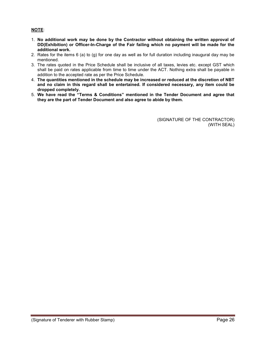# NOTE:

- 1. No additional work may be done by the Contractor without obtaining the written approval of DD(Exhibition) or Officer-In-Charge of the Fair failing which no payment will be made for the additional work.
- 2. Rates for the items 6 (a) to (g) for one day as well as for full duration including inaugural day may be mentioned.
- 3. The rates quoted in the Price Schedule shall be inclusive of all taxes, levies etc. except GST which shall be paid on rates applicable from time to time under the ACT. Nothing extra shall be payable in addition to the accepted rate as per the Price Schedule.
- 4. The quantities mentioned in the schedule may be increased or reduced at the discretion of NBT and no claim in this regard shall be entertained. If considered necessary, any item could be dropped completely.
- 5. We have read the "Terms & Conditions" mentioned in the Tender Document and agree that they are the part of Tender Document and also agree to abide by them.

(SIGNATURE OF THE CONTRACTOR) (WITH SEAL)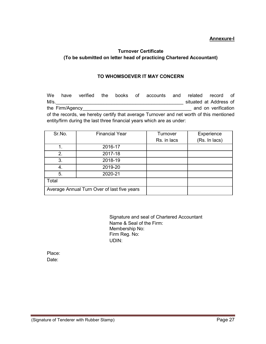# Annexure-I

# Turnover Certificate (To be submitted on letter head of practicing Chartered Accountant)

# TO WHOMSOEVER IT MAY CONCERN

We have verified the books of accounts and related record of M/s.\_\_\_\_\_\_\_\_\_\_\_\_\_\_\_\_\_\_\_\_\_\_\_\_\_\_\_\_\_\_\_\_\_\_\_\_\_\_\_\_\_\_\_\_\_\_\_\_ situated at Address of the Firm/Agency **the Firm/Agency** and on verification of the records, we hereby certify that average Turnover and net worth of this mentioned entity/firm during the last three financial years which are as under:

| Sr.No. | <b>Financial Year</b>                       | Turnover    | Experience    |
|--------|---------------------------------------------|-------------|---------------|
|        |                                             | Rs. in lacs | (Rs. In lacs) |
| 1.     | 2016-17                                     |             |               |
| 2.     | 2017-18                                     |             |               |
| 3.     | 2018-19                                     |             |               |
| 4.     | 2019-20                                     |             |               |
| 5.     | 2020-21                                     |             |               |
| Total  |                                             |             |               |
|        | Average Annual Turn Over of last five years |             |               |

Signature and seal of Chartered Accountant Name & Seal of the Firm: Membership No: Firm Reg. No: UDIN:

Place: Date: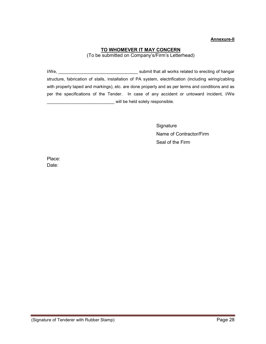## Annexure-II

# TO WHOMEVER IT MAY CONCERN

(To be submitted on Company's/Firm's Letterhead)

I/We, \_\_\_\_\_\_\_\_\_\_\_\_\_\_\_\_\_\_\_\_\_\_\_\_\_\_\_\_\_\_\_\_\_ submit that all works related to erecting of hangar structure, fabrication of stalls, installation of PA system, electrification (including wiring/cabling with properly taped and markings), etc. are done properly and as per terms and conditions and as per the specifications of the Tender. In case of any accident or untoward incident, I/We will be held solely responsible.

> **Signature** Name of Contractor/Firm Seal of the Firm

Place: Date: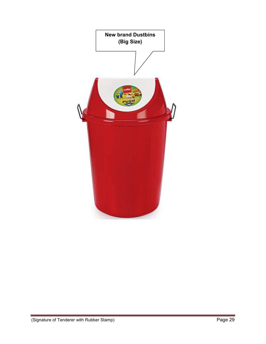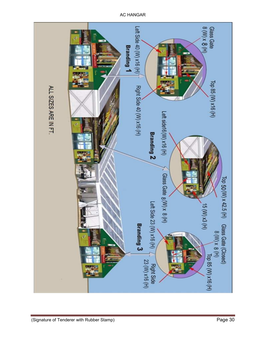Glass Gate<br>8 (W) x 8 (H) Left Side 40 (W) x16 (H) **Branding 1** Top 85 (W) x16 (H) Right Side 40 (W) x16 (H) ALL SIZES ARE IN FT. Left side16 (W) x16 (H) **Branding 2** Glass Gate 8(W) x 8 (H) Top 50 (W) x 42.5 (H) Left Side 23 (W) x16 (H)  $15(M)$   $\times$   $(H)$ Branding 3 Glass Gate (Closed)<br>  $8 \text{ (M)} \times 8 \text{ (H)}$ <br>  $\begin{array}{|c|c|c|}\n\hline\n\text{top } & \text{top } & \text{[top]} \\
\hline\n\text{top } & \text{top } & \text{[top]} & \text{[top]} \\
\hline\n\text{top } & \text{top } & \text{[top]} & \text{[top]} \\
\hline\n\end{array}$ Glass Gate (Closed) ٦ 23 (W) x16 (H) **Right Side** 

AC HANGAR